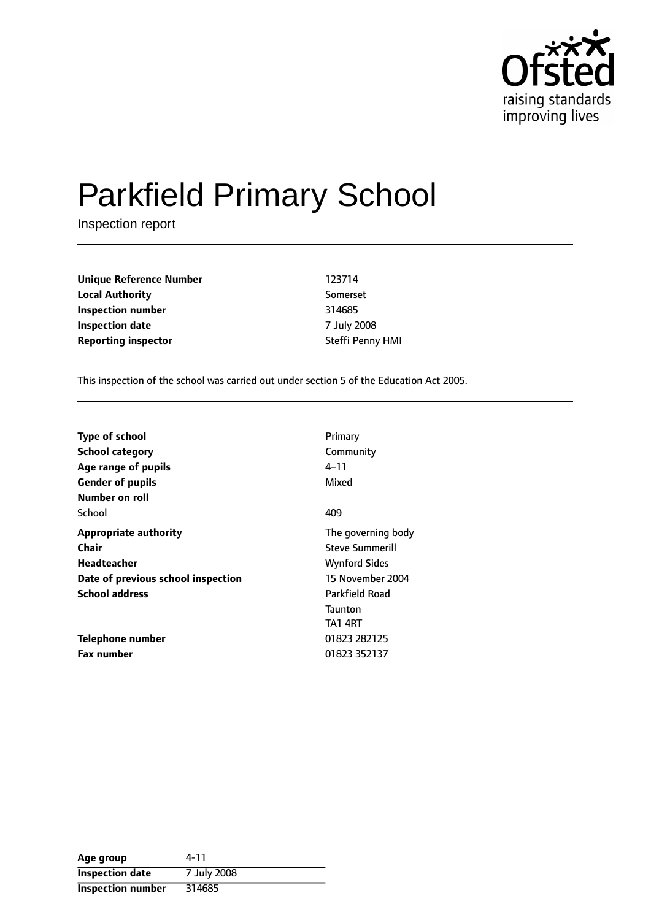

# Parkfield Primary School

Inspection report

**Unique Reference Number** 123714 **Local Authority** Somerset **Inspection number** 314685 **Inspection date** 7 July 2008 **Reporting inspector Steffi Penny HMI** 

This inspection of the school was carried out under section 5 of the Education Act 2005.

| <b>Type of school</b>              | Primary                                     |
|------------------------------------|---------------------------------------------|
| <b>School category</b>             | Community                                   |
| Age range of pupils                | 4–11                                        |
| <b>Gender of pupils</b>            | Mixed                                       |
| Number on roll<br>School           | 409                                         |
| <b>Appropriate authority</b>       | The governing body                          |
| Chair                              | <b>Steve Summerill</b>                      |
| Headteacher                        | <b>Wynford Sides</b>                        |
| Date of previous school inspection | 15 November 2004                            |
| <b>School address</b>              | Parkfield Road<br><b>Taunton</b><br>TA1 4RT |
| Telephone number                   | 01823 282125                                |
| <b>Fax number</b>                  | 01823 352137                                |

| Age group                | 4-11        |
|--------------------------|-------------|
| <b>Inspection date</b>   | 7 July 2008 |
| <b>Inspection number</b> | 314685      |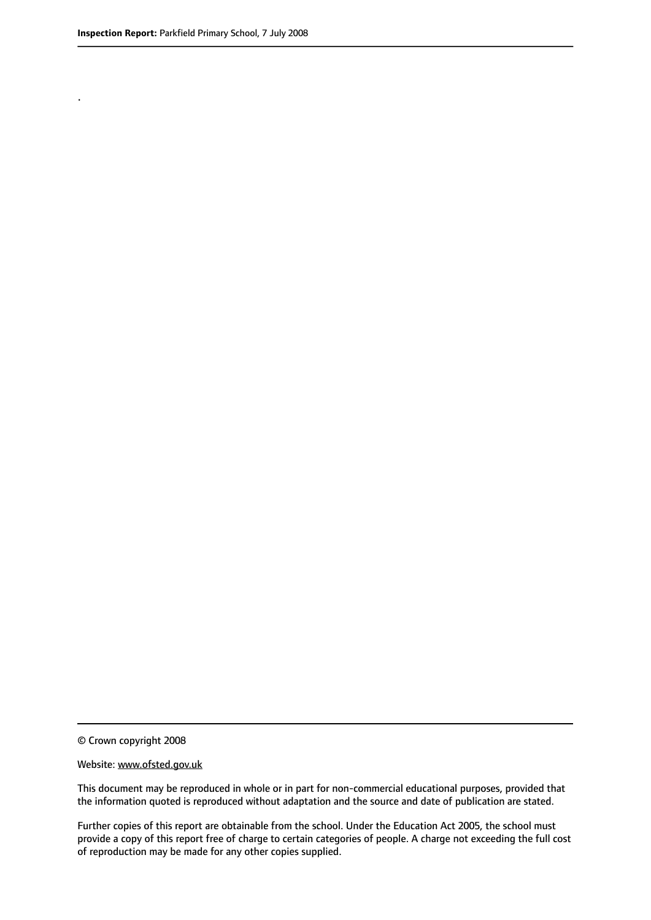.

© Crown copyright 2008

#### Website: www.ofsted.gov.uk

This document may be reproduced in whole or in part for non-commercial educational purposes, provided that the information quoted is reproduced without adaptation and the source and date of publication are stated.

Further copies of this report are obtainable from the school. Under the Education Act 2005, the school must provide a copy of this report free of charge to certain categories of people. A charge not exceeding the full cost of reproduction may be made for any other copies supplied.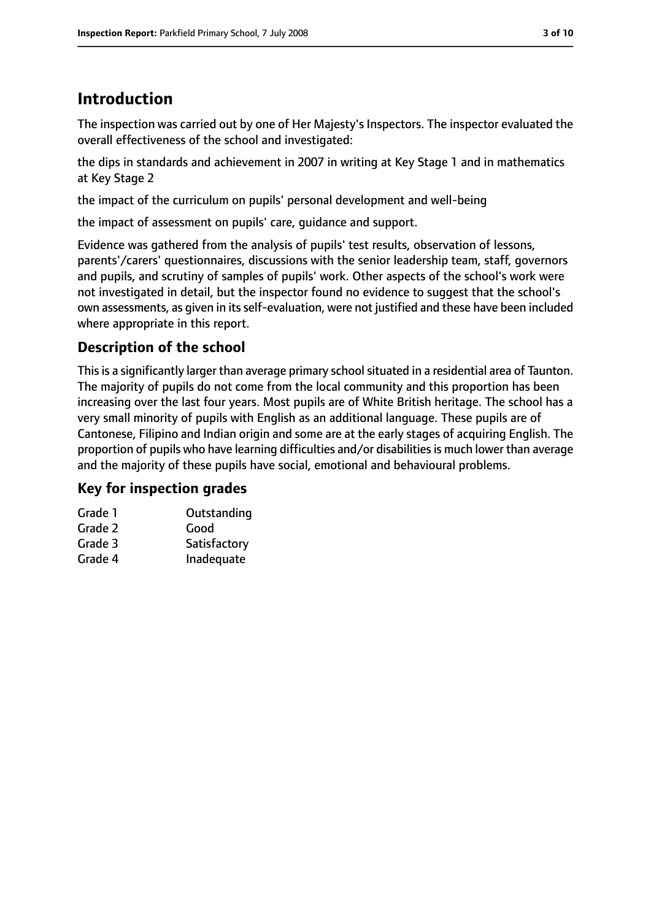# **Introduction**

The inspection was carried out by one of Her Majesty's Inspectors. The inspector evaluated the overall effectiveness of the school and investigated:

the dips in standards and achievement in 2007 in writing at Key Stage 1 and in mathematics at Key Stage 2

the impact of the curriculum on pupils' personal development and well-being

the impact of assessment on pupils' care, guidance and support.

Evidence was gathered from the analysis of pupils' test results, observation of lessons, parents'/carers' questionnaires, discussions with the senior leadership team, staff, governors and pupils, and scrutiny of samples of pupils' work. Other aspects of the school's work were not investigated in detail, but the inspector found no evidence to suggest that the school's own assessments, as given in its self-evaluation, were not justified and these have been included where appropriate in this report.

## **Description of the school**

This is a significantly larger than average primary school situated in a residential area of Taunton. The majority of pupils do not come from the local community and this proportion has been increasing over the last four years. Most pupils are of White British heritage. The school has a very small minority of pupils with English as an additional language. These pupils are of Cantonese, Filipino and Indian origin and some are at the early stages of acquiring English. The proportion of pupils who have learning difficulties and/or disabilities is much lower than average and the majority of these pupils have social, emotional and behavioural problems.

## **Key for inspection grades**

| Outstanding  |
|--------------|
| Good         |
| Satisfactory |
| Inadequate   |
|              |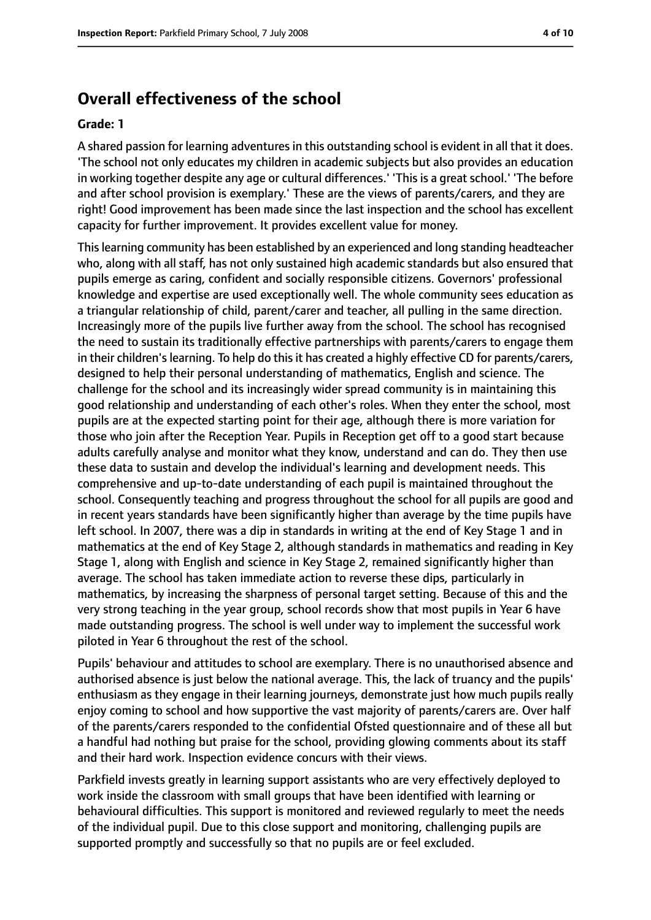# **Overall effectiveness of the school**

#### **Grade: 1**

A shared passion for learning adventures in this outstanding school is evident in all that it does. 'The school not only educates my children in academic subjects but also provides an education in working together despite any age or cultural differences.' 'This is a great school.' 'The before and after school provision is exemplary.' These are the views of parents/carers, and they are right! Good improvement has been made since the last inspection and the school has excellent capacity for further improvement. It provides excellent value for money.

Thislearning community has been established by an experienced and long standing headteacher who, along with all staff, has not only sustained high academic standards but also ensured that pupils emerge as caring, confident and socially responsible citizens. Governors' professional knowledge and expertise are used exceptionally well. The whole community sees education as a triangular relationship of child, parent/carer and teacher, all pulling in the same direction. Increasingly more of the pupils live further away from the school. The school has recognised the need to sustain its traditionally effective partnerships with parents/carers to engage them in their children's learning. To help do this it has created a highly effective CD for parents/carers, designed to help their personal understanding of mathematics, English and science. The challenge for the school and its increasingly wider spread community is in maintaining this good relationship and understanding of each other's roles. When they enter the school, most pupils are at the expected starting point for their age, although there is more variation for those who join after the Reception Year. Pupils in Reception get off to a good start because adults carefully analyse and monitor what they know, understand and can do. They then use these data to sustain and develop the individual's learning and development needs. This comprehensive and up-to-date understanding of each pupil is maintained throughout the school. Consequently teaching and progress throughout the school for all pupils are good and in recent years standards have been significantly higher than average by the time pupils have left school. In 2007, there was a dip in standards in writing at the end of Key Stage 1 and in mathematics at the end of Key Stage 2, although standards in mathematics and reading in Key Stage 1, along with English and science in Key Stage 2, remained significantly higher than average. The school has taken immediate action to reverse these dips, particularly in mathematics, by increasing the sharpness of personal target setting. Because of this and the very strong teaching in the year group, school records show that most pupils in Year 6 have made outstanding progress. The school is well under way to implement the successful work piloted in Year 6 throughout the rest of the school.

Pupils' behaviour and attitudes to school are exemplary. There is no unauthorised absence and authorised absence is just below the national average. This, the lack of truancy and the pupils' enthusiasm as they engage in their learning journeys, demonstrate just how much pupils really enjoy coming to school and how supportive the vast majority of parents/carers are. Over half of the parents/carers responded to the confidential Ofsted questionnaire and of these all but a handful had nothing but praise for the school, providing glowing comments about its staff and their hard work. Inspection evidence concurs with their views.

Parkfield invests greatly in learning support assistants who are very effectively deployed to work inside the classroom with small groups that have been identified with learning or behavioural difficulties. This support is monitored and reviewed regularly to meet the needs of the individual pupil. Due to this close support and monitoring, challenging pupils are supported promptly and successfully so that no pupils are or feel excluded.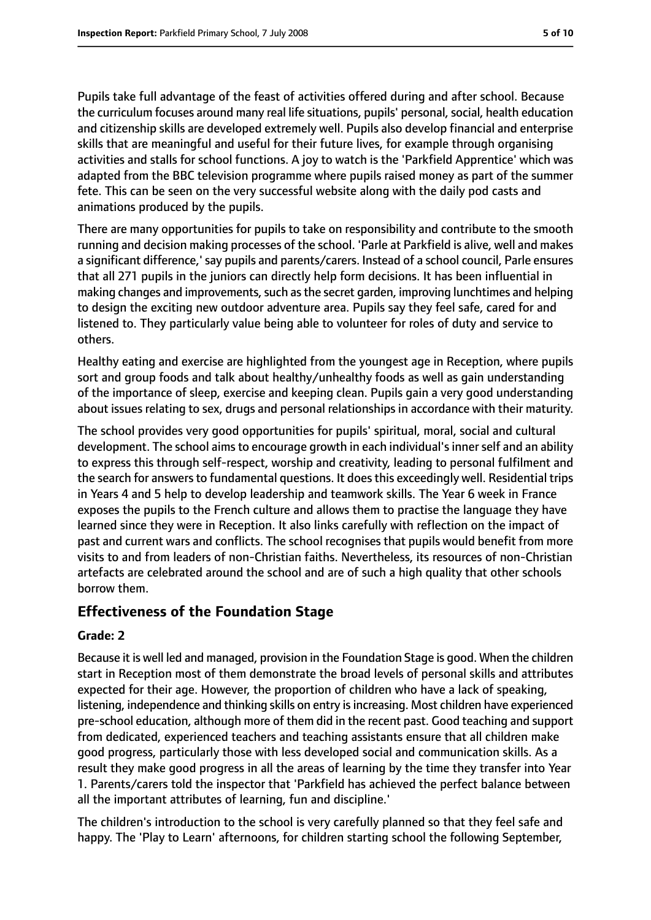Pupils take full advantage of the feast of activities offered during and after school. Because the curriculum focuses around many real life situations, pupils' personal, social, health education and citizenship skills are developed extremely well. Pupils also develop financial and enterprise skills that are meaningful and useful for their future lives, for example through organising activities and stalls for school functions. A joy to watch is the 'Parkfield Apprentice' which was adapted from the BBC television programme where pupils raised money as part of the summer fete. This can be seen on the very successful website along with the daily pod casts and animations produced by the pupils.

There are many opportunities for pupils to take on responsibility and contribute to the smooth running and decision making processes of the school. 'Parle at Parkfield is alive, well and makes a significant difference,'say pupils and parents/carers. Instead of a school council, Parle ensures that all 271 pupils in the juniors can directly help form decisions. It has been influential in making changes and improvements, such as the secret garden, improving lunchtimes and helping to design the exciting new outdoor adventure area. Pupils say they feel safe, cared for and listened to. They particularly value being able to volunteer for roles of duty and service to others.

Healthy eating and exercise are highlighted from the youngest age in Reception, where pupils sort and group foods and talk about healthy/unhealthy foods as well as gain understanding of the importance of sleep, exercise and keeping clean. Pupils gain a very good understanding about issues relating to sex, drugs and personal relationships in accordance with their maturity.

The school provides very good opportunities for pupils' spiritual, moral, social and cultural development. The school aims to encourage growth in each individual's inner self and an ability to express this through self-respect, worship and creativity, leading to personal fulfilment and the search for answersto fundamental questions. It doesthis exceedingly well. Residential trips in Years 4 and 5 help to develop leadership and teamwork skills. The Year 6 week in France exposes the pupils to the French culture and allows them to practise the language they have learned since they were in Reception. It also links carefully with reflection on the impact of past and current wars and conflicts. The school recognises that pupils would benefit from more visits to and from leaders of non-Christian faiths. Nevertheless, its resources of non-Christian artefacts are celebrated around the school and are of such a high quality that other schools borrow them.

## **Effectiveness of the Foundation Stage**

## **Grade: 2**

Because it is well led and managed, provision in the Foundation Stage is good. When the children start in Reception most of them demonstrate the broad levels of personal skills and attributes expected for their age. However, the proportion of children who have a lack of speaking, listening, independence and thinking skills on entry is increasing. Most children have experienced pre-school education, although more of them did in the recent past. Good teaching and support from dedicated, experienced teachers and teaching assistants ensure that all children make good progress, particularly those with less developed social and communication skills. As a result they make good progress in all the areas of learning by the time they transfer into Year 1. Parents/carers told the inspector that 'Parkfield has achieved the perfect balance between all the important attributes of learning, fun and discipline.'

The children's introduction to the school is very carefully planned so that they feel safe and happy. The 'Play to Learn' afternoons, for children starting school the following September,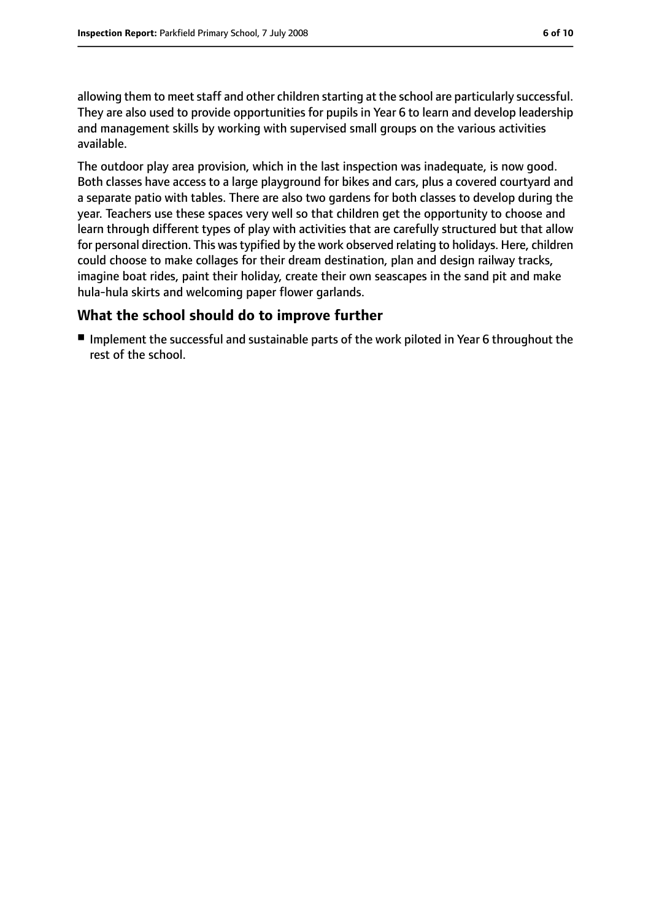allowing them to meet staff and other children starting at the school are particularly successful. They are also used to provide opportunities for pupils in Year 6 to learn and develop leadership and management skills by working with supervised small groups on the various activities available.

The outdoor play area provision, which in the last inspection was inadequate, is now good. Both classes have access to a large playground for bikes and cars, plus a covered courtyard and a separate patio with tables. There are also two gardens for both classes to develop during the year. Teachers use these spaces very well so that children get the opportunity to choose and learn through different types of play with activities that are carefully structured but that allow for personal direction. This was typified by the work observed relating to holidays. Here, children could choose to make collages for their dream destination, plan and design railway tracks, imagine boat rides, paint their holiday, create their own seascapes in the sand pit and make hula-hula skirts and welcoming paper flower garlands.

### **What the school should do to improve further**

■ Implement the successful and sustainable parts of the work piloted in Year 6 throughout the rest of the school.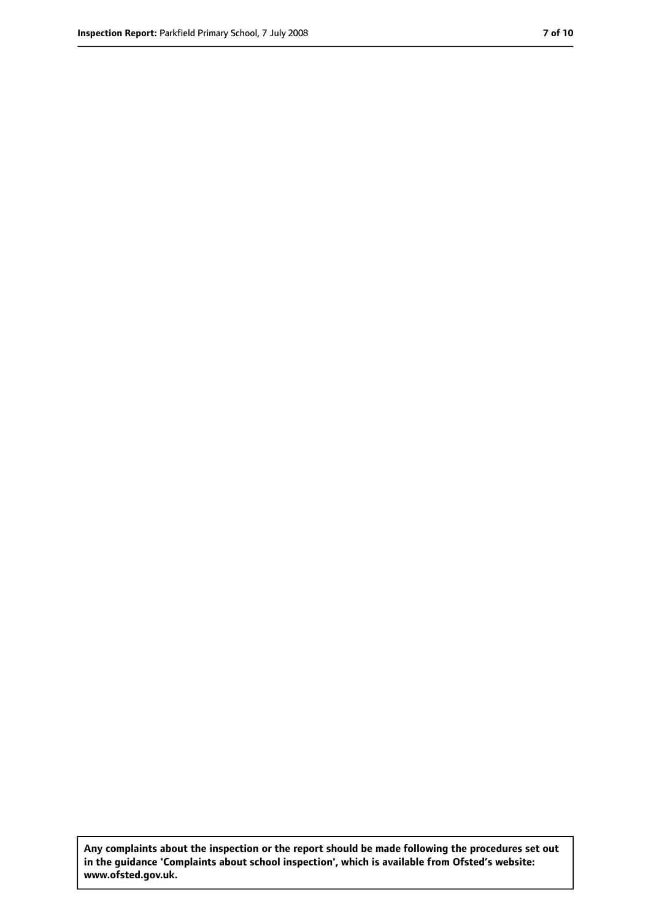**Any complaints about the inspection or the report should be made following the procedures set out in the guidance 'Complaints about school inspection', which is available from Ofsted's website: www.ofsted.gov.uk.**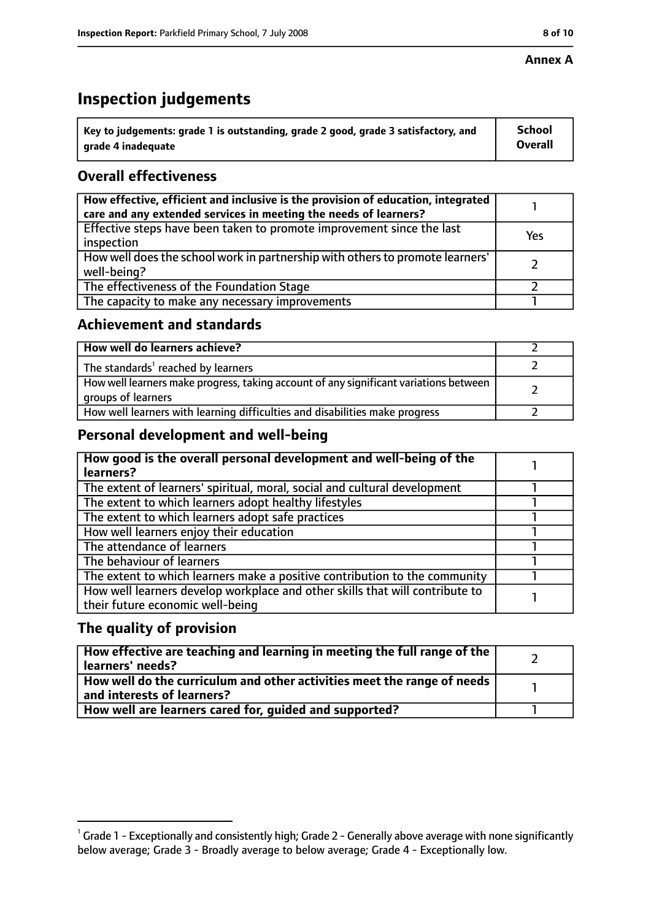#### **Annex A**

# **Inspection judgements**

| $^{\backprime}$ Key to judgements: grade 1 is outstanding, grade 2 good, grade 3 satisfactory, and | <b>School</b>  |
|----------------------------------------------------------------------------------------------------|----------------|
| arade 4 inadequate                                                                                 | <b>Overall</b> |

## **Overall effectiveness**

| How effective, efficient and inclusive is the provision of education, integrated<br>care and any extended services in meeting the needs of learners? |     |
|------------------------------------------------------------------------------------------------------------------------------------------------------|-----|
| Effective steps have been taken to promote improvement since the last<br>inspection                                                                  | Yes |
| How well does the school work in partnership with others to promote learners'<br>well-being?                                                         |     |
| The effectiveness of the Foundation Stage                                                                                                            |     |
| The capacity to make any necessary improvements                                                                                                      |     |

## **Achievement and standards**

| How well do learners achieve?                                                                               |  |
|-------------------------------------------------------------------------------------------------------------|--|
| The standards <sup>1</sup> reached by learners                                                              |  |
| How well learners make progress, taking account of any significant variations between<br>groups of learners |  |
| How well learners with learning difficulties and disabilities make progress                                 |  |

## **Personal development and well-being**

| How good is the overall personal development and well-being of the<br>learners?                                  |  |
|------------------------------------------------------------------------------------------------------------------|--|
| The extent of learners' spiritual, moral, social and cultural development                                        |  |
| The extent to which learners adopt healthy lifestyles                                                            |  |
| The extent to which learners adopt safe practices                                                                |  |
| How well learners enjoy their education                                                                          |  |
| The attendance of learners                                                                                       |  |
| The behaviour of learners                                                                                        |  |
| The extent to which learners make a positive contribution to the community                                       |  |
| How well learners develop workplace and other skills that will contribute to<br>their future economic well-being |  |

## **The quality of provision**

| How effective are teaching and learning in meeting the full range of the<br>learners' needs?          |  |
|-------------------------------------------------------------------------------------------------------|--|
| How well do the curriculum and other activities meet the range of needs<br>and interests of learners? |  |
| How well are learners cared for, quided and supported?                                                |  |

 $^1$  Grade 1 - Exceptionally and consistently high; Grade 2 - Generally above average with none significantly below average; Grade 3 - Broadly average to below average; Grade 4 - Exceptionally low.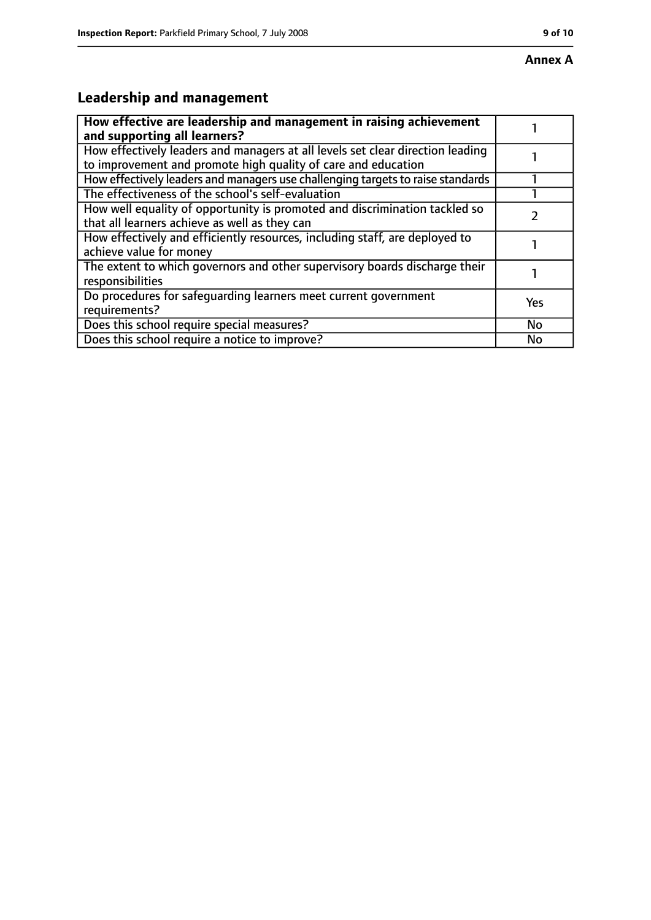## **Annex A**

# **Leadership and management**

| How effective are leadership and management in raising achievement<br>and supporting all learners?                                              |           |
|-------------------------------------------------------------------------------------------------------------------------------------------------|-----------|
| How effectively leaders and managers at all levels set clear direction leading<br>to improvement and promote high quality of care and education |           |
| How effectively leaders and managers use challenging targets to raise standards                                                                 |           |
| The effectiveness of the school's self-evaluation                                                                                               |           |
| How well equality of opportunity is promoted and discrimination tackled so<br>that all learners achieve as well as they can                     |           |
| How effectively and efficiently resources, including staff, are deployed to<br>achieve value for money                                          |           |
| The extent to which governors and other supervisory boards discharge their<br>responsibilities                                                  |           |
| Do procedures for safequarding learners meet current government<br>requirements?                                                                | Yes       |
| Does this school require special measures?                                                                                                      | <b>No</b> |
| Does this school require a notice to improve?                                                                                                   | No        |